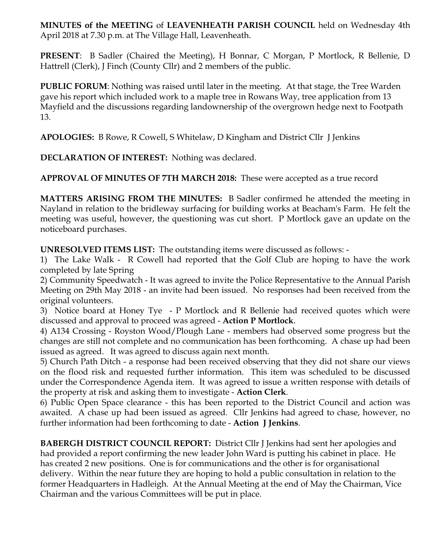**MINUTES of the MEETING** of **LEAVENHEATH PARISH COUNCIL** held on Wednesday 4th April 2018 at 7.30 p.m. at The Village Hall, Leavenheath.

**PRESENT**: B Sadler (Chaired the Meeting), H Bonnar, C Morgan, P Mortlock, R Bellenie, D Hattrell (Clerk), J Finch (County Cllr) and 2 members of the public.

**PUBLIC FORUM**: Nothing was raised until later in the meeting. At that stage, the Tree Warden gave his report which included work to a maple tree in Rowans Way, tree application from 13 Mayfield and the discussions regarding landownership of the overgrown hedge next to Footpath 13.

**APOLOGIES:** B Rowe, R Cowell, S Whitelaw, D Kingham and District Cllr J Jenkins

**DECLARATION OF INTEREST:** Nothing was declared.

**APPROVAL OF MINUTES OF 7TH MARCH 2018:** These were accepted as a true record

**MATTERS ARISING FROM THE MINUTES:** B Sadler confirmed he attended the meeting in Nayland in relation to the bridleway surfacing for building works at Beacham's Farm. He felt the meeting was useful, however, the questioning was cut short. P Mortlock gave an update on the noticeboard purchases.

**UNRESOLVED ITEMS LIST:** The outstanding items were discussed as follows: -

1) The Lake Walk - R Cowell had reported that the Golf Club are hoping to have the work completed by late Spring

2) Community Speedwatch - It was agreed to invite the Police Representative to the Annual Parish Meeting on 29th May 2018 - an invite had been issued. No responses had been received from the original volunteers.

3) Notice board at Honey Tye - P Mortlock and R Bellenie had received quotes which were discussed and approval to proceed was agreed - **Action P Mortlock**.

4) A134 Crossing - Royston Wood/Plough Lane - members had observed some progress but the changes are still not complete and no communication has been forthcoming. A chase up had been issued as agreed. It was agreed to discuss again next month.

5) Church Path Ditch - a response had been received observing that they did not share our views on the flood risk and requested further information. This item was scheduled to be discussed under the Correspondence Agenda item. It was agreed to issue a written response with details of the property at risk and asking them to investigate - **Action Clerk**.

6) Public Open Space clearance - this has been reported to the District Council and action was awaited. A chase up had been issued as agreed. Cllr Jenkins had agreed to chase, however, no further information had been forthcoming to date - **Action J Jenkins**.

**BABERGH DISTRICT COUNCIL REPORT:** District Cllr J Jenkins had sent her apologies and had provided a report confirming the new leader John Ward is putting his cabinet in place. He has created 2 new positions. One is for communications and the other is for organisational delivery. Within the near future they are hoping to hold a public consultation in relation to the former Headquarters in Hadleigh. At the Annual Meeting at the end of May the Chairman, Vice Chairman and the various Committees will be put in place.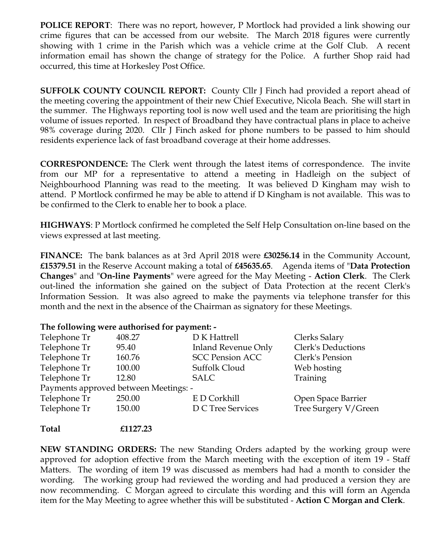**POLICE REPORT:** There was no report, however, P Mortlock had provided a link showing our crime figures that can be accessed from our website. The March 2018 figures were currently showing with 1 crime in the Parish which was a vehicle crime at the Golf Club. A recent information email has shown the change of strategy for the Police. A further Shop raid had occurred, this time at Horkesley Post Office.

**SUFFOLK COUNTY COUNCIL REPORT:** County Cllr J Finch had provided a report ahead of the meeting covering the appointment of their new Chief Executive, Nicola Beach. She will start in the summer. The Highways reporting tool is now well used and the team are prioritising the high volume of issues reported. In respect of Broadband they have contractual plans in place to acheive 98% coverage during 2020. Cllr J Finch asked for phone numbers to be passed to him should residents experience lack of fast broadband coverage at their home addresses.

**CORRESPONDENCE:** The Clerk went through the latest items of correspondence. The invite from our MP for a representative to attend a meeting in Hadleigh on the subject of Neighbourhood Planning was read to the meeting. It was believed D Kingham may wish to attend. P Mortlock confirmed he may be able to attend if D Kingham is not available. This was to be confirmed to the Clerk to enable her to book a place.

**HIGHWAYS**: P Mortlock confirmed he completed the Self Help Consultation on-line based on the views expressed at last meeting.

**FINANCE:** The bank balances as at 3rd April 2018 were **£30256.14** in the Community Account, **£15379.51** in the Reserve Account making a total of **£45635.65**. Agenda items of "**Data Protection Changes**" and "**On-line Payments**" were agreed for the May Meeting - **Action Clerk**. The Clerk out-lined the information she gained on the subject of Data Protection at the recent Clerk's Information Session. It was also agreed to make the payments via telephone transfer for this month and the next in the absence of the Chairman as signatory for these Meetings.

## **The following were authorised for payment: -**

| Telephone Tr                          | 408.27 | D K Hattrell               | Clerks Salary        |
|---------------------------------------|--------|----------------------------|----------------------|
| Telephone Tr                          | 95.40  | <b>Inland Revenue Only</b> | Clerk's Deductions   |
| Telephone Tr                          | 160.76 | <b>SCC Pension ACC</b>     | Clerk's Pension      |
| Telephone Tr                          | 100.00 | Suffolk Cloud              | Web hosting          |
| Telephone Tr                          | 12.80  | <b>SALC</b>                | Training             |
| Payments approved between Meetings: - |        |                            |                      |
| Telephone Tr                          | 250.00 | E D Corkhill               | Open Space Barrier   |
| Telephone Tr                          | 150.00 | <b>D C Tree Services</b>   | Tree Surgery V/Green |
|                                       |        |                            |                      |

## **Total £1127.23**

**NEW STANDING ORDERS:** The new Standing Orders adapted by the working group were approved for adoption effective from the March meeting with the exception of item 19 - Staff Matters. The wording of item 19 was discussed as members had had a month to consider the wording. The working group had reviewed the wording and had produced a version they are now recommending. C Morgan agreed to circulate this wording and this will form an Agenda item for the May Meeting to agree whether this will be substituted - **Action C Morgan and Clerk**.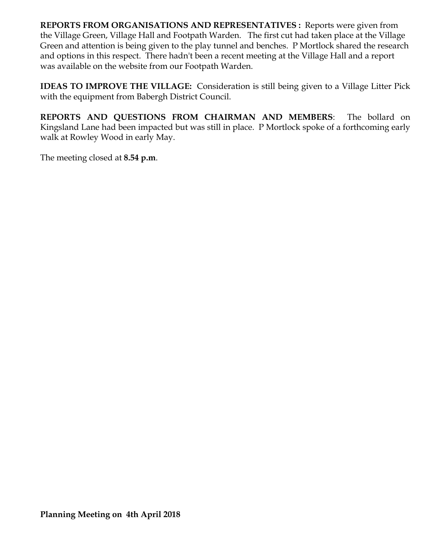**REPORTS FROM ORGANISATIONS AND REPRESENTATIVES :** Reports were given from the Village Green, Village Hall and Footpath Warden. The first cut had taken place at the Village Green and attention is being given to the play tunnel and benches. P Mortlock shared the research and options in this respect. There hadn't been a recent meeting at the Village Hall and a report was available on the website from our Footpath Warden.

**IDEAS TO IMPROVE THE VILLAGE:** Consideration is still being given to a Village Litter Pick with the equipment from Babergh District Council.

**REPORTS AND QUESTIONS FROM CHAIRMAN AND MEMBERS**: The bollard on Kingsland Lane had been impacted but was still in place. P Mortlock spoke of a forthcoming early walk at Rowley Wood in early May.

The meeting closed at **8.54 p.m**.